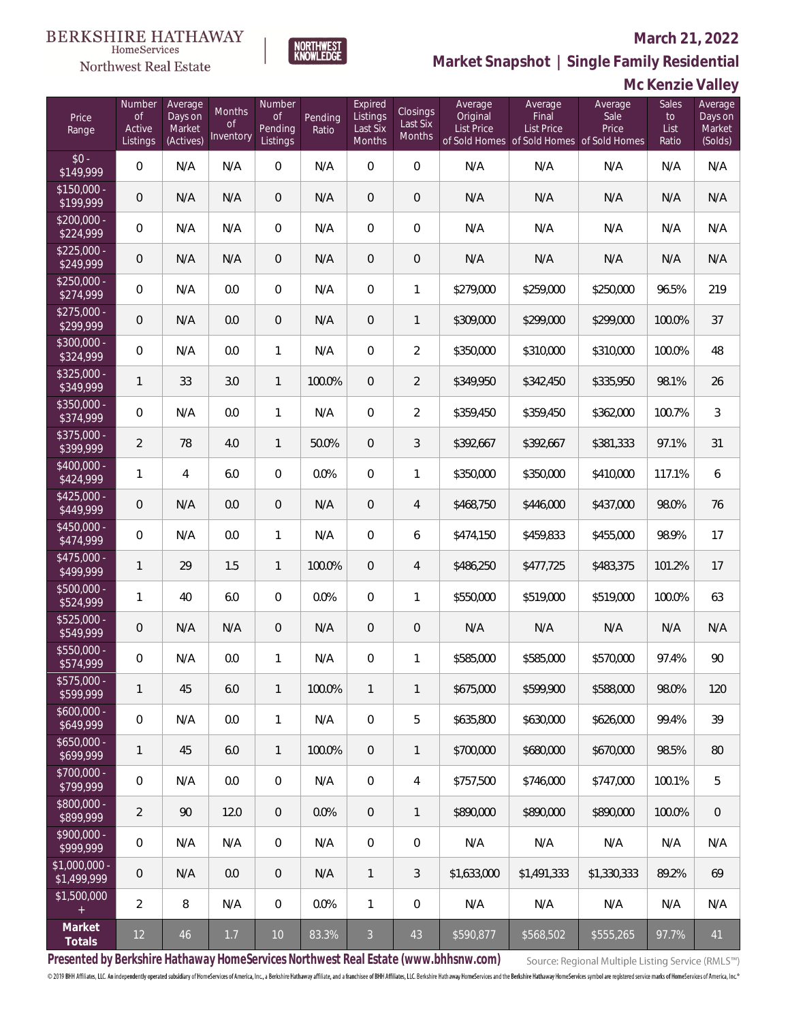#### Northwest Real Estate

#### **March 21, 2022**

**Market Snapshot | Single Family Residential**

### **Mc Kenzie Valley**

| Price<br>Range                | Number<br><b>of</b><br>Active<br>Listings | Average<br>Days on<br>Market<br>(Actives) | Months<br><b>of</b><br>Inventory | Number<br><b>of</b><br>Pending<br>Listings | Pending<br>Ratio | Expired<br>Listings<br>Last Six<br>Months | Closings<br>Last Six<br>Months | Average<br>Original<br><b>List Price</b> | Average<br>Final<br><b>List Price</b> | Average<br>Sale<br>Price<br>of Sold Homes of Sold Homes of Sold Homes | Sales<br>to<br>List<br>Ratio | Average<br>Days on<br>Market<br>(Solds) |
|-------------------------------|-------------------------------------------|-------------------------------------------|----------------------------------|--------------------------------------------|------------------|-------------------------------------------|--------------------------------|------------------------------------------|---------------------------------------|-----------------------------------------------------------------------|------------------------------|-----------------------------------------|
| $$0 -$<br>\$149,999           | $\overline{0}$                            | N/A                                       | N/A                              | $\overline{0}$                             | N/A              | $\overline{0}$                            | $\overline{0}$                 | N/A                                      | N/A                                   | N/A                                                                   | N/A                          | N/A                                     |
| $$150,000 -$<br>\$199,999     | $\overline{0}$                            | N/A                                       | N/A                              | $\overline{0}$                             | N/A              | $\overline{0}$                            | $\mathbf 0$                    | N/A                                      | N/A                                   | N/A                                                                   | N/A                          | N/A                                     |
| $$200,000 -$<br>\$224,999     | $\mathbf 0$                               | N/A                                       | N/A                              | $\overline{0}$                             | N/A              | $\overline{0}$                            | 0                              | N/A                                      | N/A                                   | N/A                                                                   | N/A                          | N/A                                     |
| $$225,000 -$<br>\$249,999     | $\overline{0}$                            | N/A                                       | N/A                              | $\overline{0}$                             | N/A              | $\overline{0}$                            | 0                              | N/A                                      | N/A                                   | N/A                                                                   | N/A                          | N/A                                     |
| $$250,000 -$<br>\$274,999     | $\overline{0}$                            | N/A                                       | 0.0                              | $\overline{0}$                             | N/A              | $\overline{0}$                            | $\mathbf{1}$                   | \$279,000                                | \$259,000                             | \$250,000                                                             | 96.5%                        | 219                                     |
| $$275,000 -$<br>\$299,999     | $\overline{0}$                            | N/A                                       | 0.0                              | $\overline{0}$                             | N/A              | $\overline{0}$                            | $\mathbf{1}$                   | \$309,000                                | \$299,000                             | \$299,000                                                             | 100.0%                       | 37                                      |
| $$300,000 -$<br>\$324,999     | $\overline{0}$                            | N/A                                       | 0.0                              | $\mathbf{1}$                               | N/A              | $\overline{0}$                            | $\overline{2}$                 | \$350,000                                | \$310,000                             | \$310,000                                                             | 100.0%                       | 48                                      |
| $$325,000 -$<br>\$349,999     | $\mathbf{1}$                              | 33                                        | 3.0                              | $\mathbf{1}$                               | 100.0%           | $\overline{0}$                            | $\overline{2}$                 | \$349,950                                | \$342,450                             | \$335,950                                                             | 98.1%                        | 26                                      |
| $$350,000 -$<br>\$374,999     | $\overline{0}$                            | N/A                                       | 0.0                              | $\mathbf{1}$                               | N/A              | $\overline{0}$                            | $\overline{2}$                 | \$359,450                                | \$359,450                             | \$362,000                                                             | 100.7%                       | 3                                       |
| $$375,000 -$<br>\$399,999     | $\overline{2}$                            | 78                                        | 4.0                              | $\mathbf{1}$                               | 50.0%            | $\overline{0}$                            | 3                              | \$392,667                                | \$392,667                             | \$381,333                                                             | 97.1%                        | 31                                      |
| $$400,000 -$<br>\$424,999     | $\mathbf{1}$                              | 4                                         | 6.0                              | $\overline{0}$                             | 0.0%             | $\overline{0}$                            | $\mathbf{1}$                   | \$350,000                                | \$350,000                             | \$410,000                                                             | 117.1%                       | 6                                       |
| $$425,000 -$<br>\$449,999     | $\overline{0}$                            | N/A                                       | 0.0                              | $\mathbf{0}$                               | N/A              | $\overline{0}$                            | 4                              | \$468,750                                | \$446,000                             | \$437,000                                                             | 98.0%                        | 76                                      |
| $$450,000 -$<br>\$474,999     | 0                                         | N/A                                       | 0.0                              | $\mathbf{1}$                               | N/A              | $\overline{0}$                            | 6                              | \$474,150                                | \$459,833                             | \$455,000                                                             | 98.9%                        | 17                                      |
| $$475,000 -$<br>\$499,999     | $\mathbf{1}$                              | 29                                        | 1.5                              | $\overline{1}$                             | 100.0%           | $\overline{0}$                            | 4                              | \$486,250                                | \$477,725                             | \$483,375                                                             | 101.2%                       | 17                                      |
| $$500,000 -$<br>\$524,999     | $\mathbf{1}$                              | 40                                        | 6.0                              | $\Omega$                                   | 0.0%             | $\Omega$                                  | $\mathbf{1}$                   | \$550,000                                | \$519,000                             | \$519,000                                                             | 100.0%                       | 63                                      |
| $$525,000 -$<br>\$549,999     | $\overline{0}$                            | N/A                                       | N/A                              | $\mathbf{0}$                               | N/A              | $\overline{0}$                            | $\overline{0}$                 | N/A                                      | N/A                                   | N/A                                                                   | N/A                          | N/A                                     |
| $$550,000 -$<br>\$574,999     | $\overline{0}$                            | N/A                                       | 0.0                              | $\mathbf{1}$                               | N/A              | $\overline{0}$                            | $\mathbf{1}$                   | \$585,000                                | \$585,000                             | \$570,000                                                             | 97.4%                        | 90                                      |
| \$575,000 -<br>\$599,999      | $\mathbf{1}$                              | 45                                        | $6.0\,$                          | $\mathbf{1}$                               | 100.0%           | $\mathbf{1}$                              | $\mathbf{1}$                   | \$675,000                                | \$599,900                             | \$588,000                                                             | 98.0%                        | 120                                     |
| $$600,000 -$<br>\$649,999     | $\mathbf 0$                               | N/A                                       | 0.0                              | $\mathbf{1}$                               | N/A              | 0                                         | 5                              | \$635,800                                | \$630,000                             | \$626,000                                                             | 99.4%                        | 39                                      |
| $$650,000 -$<br>\$699,999     | $\mathbf{1}$                              | 45                                        | 6.0                              | $\mathbf{1}$                               | 100.0%           | $\overline{0}$                            | $\mathbf{1}$                   | \$700,000                                | \$680,000                             | \$670,000                                                             | 98.5%                        | 80                                      |
| \$700,000 -<br>\$799,999      | 0                                         | N/A                                       | 0.0                              | $\mathbf 0$                                | N/A              | $\mathbf 0$                               | 4                              | \$757,500                                | \$746,000                             | \$747,000                                                             | 100.1%                       | 5                                       |
| \$800,000 -<br>\$899,999      | $\overline{2}$                            | 90                                        | 12.0                             | $\overline{0}$                             | 0.0%             | $\overline{0}$                            | $\mathbf{1}$                   | \$890,000                                | \$890,000                             | \$890,000                                                             | 100.0%                       | $\overline{0}$                          |
| \$900,000 -<br>\$999,999      | 0                                         | N/A                                       | N/A                              | $\mathbf 0$                                | N/A              | $\overline{0}$                            | 0                              | N/A                                      | N/A                                   | N/A                                                                   | N/A                          | N/A                                     |
| $$1,000,000$ -<br>\$1,499,999 | 0                                         | N/A                                       | $0.0\,$                          | $\mathbf{0}$                               | N/A              | $\mathbf{1}$                              | 3                              | \$1,633,000                              | \$1,491,333                           | \$1,330,333                                                           | 89.2%                        | 69                                      |
| \$1,500,000<br>$+$            | $\overline{2}$                            | $\,8\,$                                   | N/A                              | $\mathbf 0$                                | 0.0%             | 1                                         | 0                              | N/A                                      | N/A                                   | N/A                                                                   | N/A                          | N/A                                     |
| Market<br>Totals              | $12 \overline{)}$                         | $46\,$                                    | $1.7\,$                          | $10\,$                                     | 83.3%            | $\mathfrak{Z}$                            | $43\,$                         | \$590,877                                | \$568,502                             | \$555,265                                                             | 97.7%                        | 41                                      |

NORTHWEST<br>KNOWLFDGF

**Presented by Berkshire Hathaway HomeServices Northwest Real Estate (www.bhhsnw.com)**

Source: Regional Multiple Listing Service (RMLS™)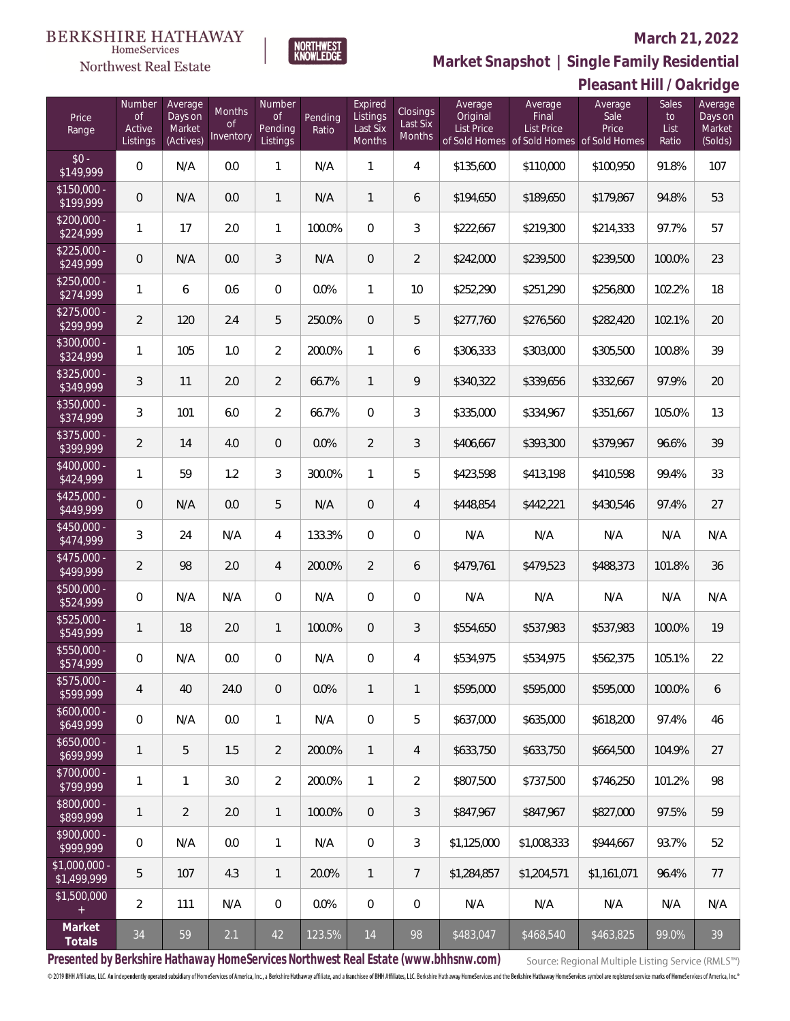#### BERKSHIRE HATHAWAY HomeServices

### Northwest Real Estate

#### **March 21, 2022**



|                                   |                                           |                                           |                                  |                                                   |                  |                                           |                                       |                                          |                                                                             | PIEASAHI FIIII / UAN IUYE |                                     |                                         |
|-----------------------------------|-------------------------------------------|-------------------------------------------|----------------------------------|---------------------------------------------------|------------------|-------------------------------------------|---------------------------------------|------------------------------------------|-----------------------------------------------------------------------------|---------------------------|-------------------------------------|-----------------------------------------|
| Price<br>Range                    | Number<br><b>of</b><br>Active<br>Listings | Average<br>Days on<br>Market<br>(Actives) | Months<br><b>of</b><br>Inventory | <b>Number</b><br><b>of</b><br>Pending<br>Listings | Pending<br>Ratio | Expired<br>Listings<br>Last Six<br>Months | Closings<br>Last Six<br><b>Months</b> | Average<br>Original<br><b>List Price</b> | Average<br>Final<br>List Price<br>of Sold Homes of Sold Homes of Sold Homes | Average<br>Sale<br>Price  | <b>Sales</b><br>to<br>List<br>Ratio | Average<br>Days on<br>Market<br>(Solds) |
| $$0 -$<br>\$149,999               | 0                                         | N/A                                       | 0.0                              | 1                                                 | N/A              | 1                                         | 4                                     | \$135,600                                | \$110,000                                                                   | \$100,950                 | 91.8%                               | 107                                     |
| $$150,000 -$<br>\$199,999         | $\mathbf 0$                               | N/A                                       | 0.0                              | $\mathbf{1}$                                      | N/A              | 1                                         | 6                                     | \$194,650                                | \$189,650                                                                   | \$179,867                 | 94.8%                               | 53                                      |
| \$200,000 -<br>\$224,999          | $\mathbf{1}$                              | 17                                        | 2.0                              | 1                                                 | 100.0%           | $\overline{0}$                            | 3                                     | \$222,667                                | \$219,300                                                                   | \$214,333                 | 97.7%                               | 57                                      |
| $$225,000 -$<br>\$249,999         | $\mathbf 0$                               | N/A                                       | 0.0                              | 3                                                 | N/A              | $\overline{0}$                            | $\overline{2}$                        | \$242,000                                | \$239,500                                                                   | \$239,500                 | 100.0%                              | 23                                      |
| $$250,000 -$<br>\$274,999         | 1                                         | 6                                         | 0.6                              | $\overline{0}$                                    | 0.0%             | $\mathbf{1}$                              | 10                                    | \$252,290                                | \$251,290                                                                   | \$256,800                 | 102.2%                              | 18                                      |
| $$275,000 -$<br>$\sqrt{$299,999}$ | $\overline{2}$                            | 120                                       | 2.4                              | 5                                                 | 250.0%           | $\mathbf{0}$                              | 5                                     | \$277,760                                | \$276,560                                                                   | \$282,420                 | 102.1%                              | 20                                      |
| $$300,000 -$<br>\$324,999         | $\mathbf{1}$                              | 105                                       | 1.0                              | $\overline{2}$                                    | 200.0%           | $\mathbf{1}$                              | 6                                     | \$306,333                                | \$303,000                                                                   | \$305,500                 | 100.8%                              | 39                                      |
| $$325,000 -$<br>\$349,999         | 3                                         | 11                                        | 2.0                              | $\overline{2}$                                    | 66.7%            | $\mathbf{1}$                              | 9                                     | \$340,322                                | \$339,656                                                                   | \$332,667                 | 97.9%                               | 20                                      |
| $$350,000 -$<br>\$374,999         | 3                                         | 101                                       | 6.0                              | $\overline{2}$                                    | 66.7%            | $\overline{0}$                            | 3                                     | \$335,000                                | \$334,967                                                                   | \$351,667                 | 105.0%                              | 13                                      |
| $$375,000 -$<br>\$399,999         | $\overline{2}$                            | 14                                        | 4.0                              | $\mathbf 0$                                       | 0.0%             | $\overline{2}$                            | 3                                     | \$406,667                                | \$393,300                                                                   | \$379,967                 | 96.6%                               | 39                                      |
| $$400,000 -$<br>\$424,999         | $\mathbf{1}$                              | 59                                        | 1.2                              | 3                                                 | 300.0%           | $\mathbf{1}$                              | 5                                     | \$423,598                                | \$413,198                                                                   | \$410,598                 | 99.4%                               | 33                                      |
| $$425,000 -$<br>\$449,999         | $\mathbf 0$                               | N/A                                       | 0.0                              | 5                                                 | N/A              | $\overline{0}$                            | $\overline{4}$                        | \$448,854                                | \$442,221                                                                   | \$430,546                 | 97.4%                               | 27                                      |
| $$450,000 -$<br>\$474,999         | 3                                         | 24                                        | N/A                              | 4                                                 | 133.3%           | $\overline{0}$                            | 0                                     | N/A                                      | N/A                                                                         | N/A                       | N/A                                 | N/A                                     |
| $$475,000 -$<br>\$499,999         | $\overline{2}$                            | 98                                        | 2.0                              | $\overline{4}$                                    | 200.0%           | $\overline{2}$                            | 6                                     | \$479,761                                | \$479,523                                                                   | \$488,373                 | 101.8%                              | 36                                      |
| $$500,000 -$<br>\$524,999         | 0                                         | N/A                                       | N/A                              | 0                                                 | N/A              | $\overline{0}$                            | $\boldsymbol{0}$                      | N/A                                      | N/A                                                                         | N/A                       | N/A                                 | N/A                                     |
| $$525,000 -$<br>\$549,999         | $\mathbf{1}$                              | 18                                        | 2.0                              | $\mathbf{1}$                                      | 100.0%           | $\mathbf 0$                               | 3                                     | \$554,650                                | \$537,983                                                                   | \$537,983                 | 100.0%                              | 19                                      |
| \$550,000 -<br>\$574,999          | 0                                         | N/A                                       | 0.0                              | 0                                                 | N/A              | 0                                         | 4                                     | \$534,975                                | \$534,975                                                                   | \$562,375                 | 105.1%                              | 22                                      |
| \$575,000 -<br>\$599,999          | 4                                         | 40                                        | 24.0                             | $\mathbf 0$                                       | $0.0\%$          | $\mathbf{1}$                              | 1                                     | \$595,000                                | \$595,000                                                                   | \$595,000                 | 100.0%                              | 6                                       |
| $$600,000 -$<br>\$649,999         | 0                                         | N/A                                       | 0.0                              | $\mathbf{1}$                                      | N/A              | $\overline{0}$                            | 5                                     | \$637,000                                | \$635,000                                                                   | \$618,200                 | 97.4%                               | 46                                      |
| $$650,000 -$<br>\$699,999         | $\mathbf{1}$                              | 5                                         | 1.5                              | $\overline{2}$                                    | 200.0%           | $\mathbf{1}$                              | 4                                     | \$633,750                                | \$633,750                                                                   | \$664,500                 | 104.9%                              | 27                                      |
| $$700,000 -$<br>\$799,999         | $\mathbf{1}$                              | $\mathbf{1}$                              | 3.0                              | $\overline{2}$                                    | 200.0%           | $\mathbf{1}$                              | $\overline{2}$                        | \$807,500                                | \$737,500                                                                   | \$746,250                 | 101.2%                              | 98                                      |
| $$800,000 -$<br>\$899,999         | $\mathbf{1}$                              | $\overline{2}$                            | 2.0                              | $\mathbf{1}$                                      | 100.0%           | $\overline{0}$                            | 3                                     | \$847,967                                | \$847,967                                                                   | \$827,000                 | 97.5%                               | 59                                      |
| $$900,000 -$<br>\$999,999         | 0                                         | N/A                                       | 0.0                              | $\mathbf{1}$                                      | N/A              | $\overline{0}$                            | 3                                     | \$1,125,000                              | \$1,008,333                                                                 | \$944,667                 | 93.7%                               | 52                                      |
| \$1,000,000<br>\$1,499,999        | 5                                         | 107                                       | 4.3                              | $\mathbf{1}$                                      | 20.0%            | $\mathbf{1}$                              | $7\overline{ }$                       | \$1,284,857                              | \$1,204,571                                                                 | \$1,161,071               | 96.4%                               | 77                                      |
| \$1,500,000<br>$+$                | $\overline{2}$                            | 111                                       | N/A                              | 0                                                 | 0.0%             | $\overline{0}$                            | $\boldsymbol{0}$                      | N/A                                      | N/A                                                                         | N/A                       | N/A                                 | N/A                                     |
| Market<br>Totals                  | $34\,$                                    | 59                                        | 2.1                              | 42                                                | 123.5%           | 14                                        | 98                                    | \$483,047                                | \$468,540                                                                   | \$463,825                 | 99.0%                               | 39                                      |

NORTHWEST<br>KNOWLFDGF

**Presented by Berkshire Hathaway HomeServices Northwest Real Estate (www.bhhsnw.com)**

Source: Regional Multiple Listing Service (RMLS™)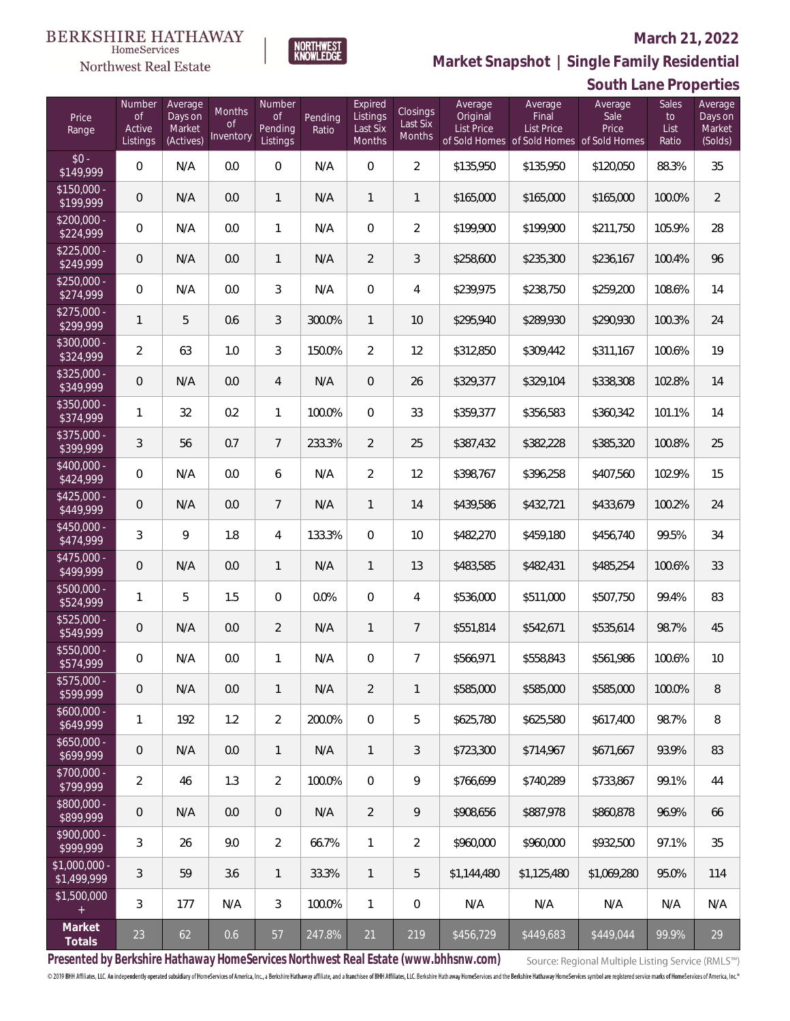#### Northwest Real Estate

#### **March 21, 2022**



|                               |                                           |                                           |                           |                                            |                  |                                           |                                       |                                          |                                       | JUULIT LUHUT TUPUL LIUJ                                               |                              |                                         |
|-------------------------------|-------------------------------------------|-------------------------------------------|---------------------------|--------------------------------------------|------------------|-------------------------------------------|---------------------------------------|------------------------------------------|---------------------------------------|-----------------------------------------------------------------------|------------------------------|-----------------------------------------|
| Price<br>Range                | Number<br><b>of</b><br>Active<br>Listings | Average<br>Days on<br>Market<br>(Actives) | Months<br>0f<br>Inventory | Number<br><b>of</b><br>Pending<br>Listings | Pending<br>Ratio | Expired<br>Listings<br>Last Six<br>Months | Closings<br>Last Six<br><b>Months</b> | Average<br>Original<br><b>List Price</b> | Average<br>Final<br><b>List Price</b> | Average<br>Sale<br>Price<br>of Sold Homes of Sold Homes of Sold Homes | Sales<br>to<br>List<br>Ratio | Average<br>Days on<br>Market<br>(Solds) |
| $$0 -$<br>\$149,999           | 0                                         | N/A                                       | 0.0                       | $\mathbf 0$                                | N/A              | $\mathbf 0$                               | $\overline{2}$                        | \$135,950                                | \$135,950                             | \$120,050                                                             | 88.3%                        | 35                                      |
| $$150,000 -$<br>\$199,999     | 0                                         | N/A                                       | 0.0                       | $\mathbf{1}$                               | N/A              | $\mathbf{1}$                              | $\mathbf{1}$                          | \$165,000                                | \$165,000                             | \$165,000                                                             | 100.0%                       | $\overline{2}$                          |
| $$200,000 -$<br>\$224,999     | 0                                         | N/A                                       | 0.0                       | $\mathbf{1}$                               | N/A              | $\boldsymbol{0}$                          | $\overline{2}$                        | \$199,900                                | \$199,900                             | \$211,750                                                             | 105.9%                       | 28                                      |
| $$225,000 -$<br>\$249,999     | 0                                         | N/A                                       | 0.0                       | $\mathbf{1}$                               | N/A              | $\overline{2}$                            | $\mathfrak{Z}$                        | \$258,600                                | \$235,300                             | \$236,167                                                             | 100.4%                       | 96                                      |
| $$250,000 -$<br>\$274,999     | 0                                         | N/A                                       | 0.0                       | 3                                          | N/A              | $\boldsymbol{0}$                          | 4                                     | \$239,975                                | \$238,750                             | \$259,200                                                             | 108.6%                       | 14                                      |
| $$275,000 -$<br>\$299,999     | 1                                         | 5                                         | 0.6                       | 3                                          | 300.0%           | $\mathbf{1}$                              | $10$                                  | \$295,940                                | \$289,930                             | \$290,930                                                             | 100.3%                       | 24                                      |
| $$300,000 -$<br>\$324,999     | $\overline{a}$                            | 63                                        | 1.0                       | 3                                          | 150.0%           | $\overline{a}$                            | 12                                    | \$312,850                                | \$309,442                             | \$311,167                                                             | 100.6%                       | 19                                      |
| $$325,000 -$<br>\$349,999     | 0                                         | N/A                                       | 0.0                       | $\overline{4}$                             | N/A              | $\mathbf 0$                               | 26                                    | \$329,377                                | \$329,104                             | \$338,308                                                             | 102.8%                       | 14                                      |
| $$350,000 -$<br>\$374,999     | 1                                         | 32                                        | 0.2                       | $\mathbf{1}$                               | 100.0%           | 0                                         | 33                                    | \$359,377                                | \$356,583                             | \$360,342                                                             | 101.1%                       | 14                                      |
| $$375,000 -$<br>\$399,999     | 3                                         | 56                                        | 0.7                       | $7\overline{ }$                            | 233.3%           | $\overline{2}$                            | 25                                    | \$387,432                                | \$382,228                             | \$385,320                                                             | 100.8%                       | 25                                      |
| $$400,000 -$<br>\$424,999     | $\mathbf 0$                               | N/A                                       | 0.0                       | 6                                          | N/A              | $\overline{2}$                            | 12                                    | \$398,767                                | \$396,258                             | \$407,560                                                             | 102.9%                       | 15                                      |
| $$425,000 -$<br>\$449,999     | 0                                         | N/A                                       | 0.0                       | $7\overline{ }$                            | N/A              | $\mathbf{1}$                              | 14                                    | \$439,586                                | \$432,721                             | \$433,679                                                             | 100.2%                       | 24                                      |
| $$450,000 -$<br>\$474,999     | 3                                         | 9                                         | 1.8                       | 4                                          | 133.3%           | $\boldsymbol{0}$                          | 10                                    | \$482,270                                | \$459,180                             | \$456,740                                                             | 99.5%                        | 34                                      |
| $$475,000 -$<br>\$499,999     | 0                                         | N/A                                       | 0.0                       | $\mathbf{1}$                               | N/A              | $\mathbf{1}$                              | 13                                    | \$483,585                                | \$482,431                             | \$485,254                                                             | 100.6%                       | 33                                      |
| \$500,000 -<br>\$524,999      | 1                                         | 5                                         | 1.5                       | $\boldsymbol{0}$                           | 0.0%             | $\boldsymbol{0}$                          | 4                                     | \$536,000                                | \$511,000                             | \$507,750                                                             | 99.4%                        | 83                                      |
| $$525,000 -$<br>\$549,999     | 0                                         | N/A                                       | 0.0                       | $\overline{2}$                             | N/A              | $\mathbf{1}$                              | $\overline{7}$                        | \$551,814                                | \$542,671                             | \$535,614                                                             | 98.7%                        | 45                                      |
| \$550,000 -<br>\$574,999      | 0                                         | N/A                                       | 0.0                       | $\mathbf{1}$                               | N/A              | $\mathbf 0$                               | $\overline{7}$                        | \$566,971                                | \$558,843                             | \$561,986                                                             | 100.6%                       | 10                                      |
| $$575,000 -$<br>\$599,999     | 0                                         | N/A                                       | 0.0                       | $\mathbf{1}$                               | N/A              | 2                                         | $\mathbf{1}$                          | \$585,000                                | \$585,000                             | \$585,000                                                             | 100.0%                       | 8                                       |
| $$600,000 -$<br>\$649,999     | 1                                         | 192                                       | 1.2                       | $\overline{2}$                             | 200.0%           | $\overline{0}$                            | 5                                     | \$625,780                                | \$625,580                             | \$617,400                                                             | 98.7%                        | 8                                       |
| $$650,000 -$<br>\$699,999     | 0                                         | N/A                                       | 0.0                       | $\overline{1}$                             | N/A              | $\mathbf{1}$                              | 3                                     | \$723,300                                | \$714,967                             | \$671,667                                                             | 93.9%                        | 83                                      |
| $$700,000 -$<br>\$799,999     | $\overline{2}$                            | 46                                        | 1.3                       | $\overline{2}$                             | 100.0%           | $\overline{0}$                            | 9                                     | \$766,699                                | \$740,289                             | \$733.867                                                             | 99.1%                        | 44                                      |
| \$800,000 -<br>\$899,999      | 0                                         | N/A                                       | 0.0                       | $\boldsymbol{0}$                           | N/A              | $\overline{2}$                            | 9                                     | \$908,656                                | \$887,978                             | \$860,878                                                             | 96.9%                        | 66                                      |
| $$900,000 -$<br>\$999,999     | 3                                         | 26                                        | 9.0                       | $\overline{2}$                             | 66.7%            | $\mathbf{1}$                              | $\overline{2}$                        | \$960,000                                | \$960,000                             | \$932,500                                                             | 97.1%                        | 35                                      |
| $$1,000,000 -$<br>\$1,499,999 | 3                                         | 59                                        | 3.6                       | $\overline{1}$                             | 33.3%            | $\mathbf{1}$                              | 5                                     | \$1,144,480                              | \$1,125,480                           | \$1,069,280                                                           | 95.0%                        | 114                                     |
| \$1,500,000<br>$+$            | 3                                         | 177                                       | N/A                       | 3                                          | 100.0%           | $\mathbf{1}$                              | 0                                     | N/A                                      | N/A                                   | N/A                                                                   | N/A                          | N/A                                     |
| Market<br>Totals              | 23                                        | 62                                        | 0.6                       | 57                                         | 247.8%           | 21                                        | 219                                   | \$456,729                                | \$449,683                             | \$449,044                                                             | 99.9%                        | 29                                      |

NORTHWEST<br>KNOWLFDGF

**Presented by Berkshire Hathaway HomeServices Northwest Real Estate (www.bhhsnw.com)**

Source: Regional Multiple Listing Service (RMLS™)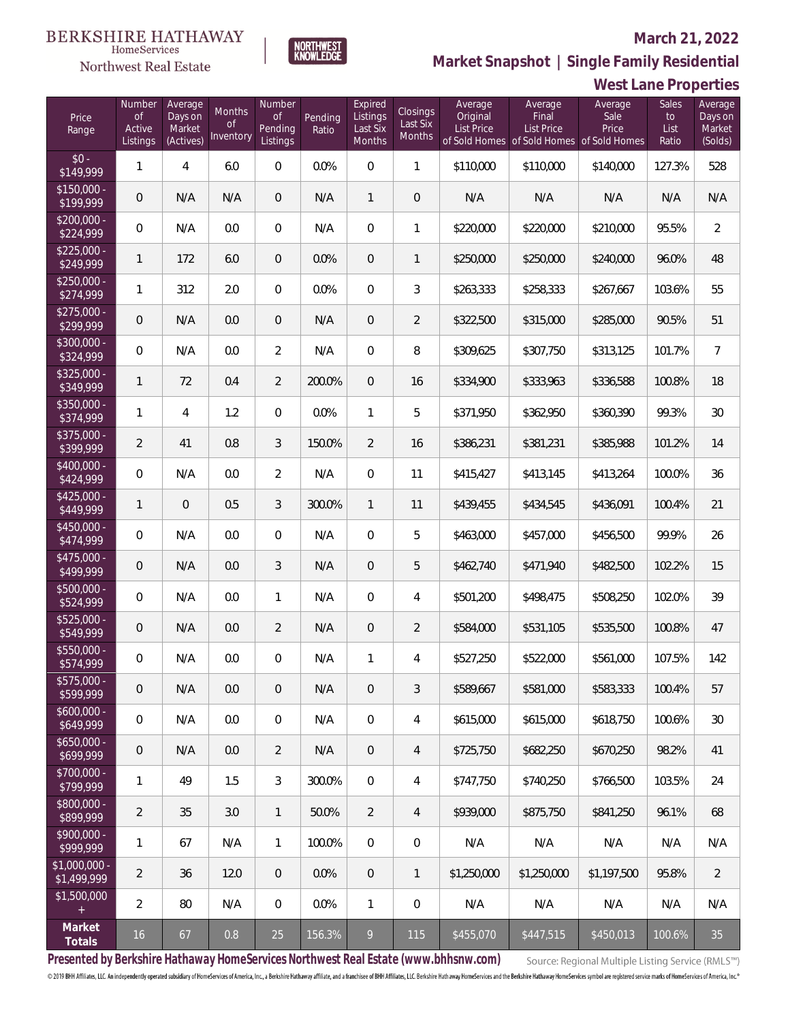#### Northwest Real Estate

#### **March 21, 2022**



### **West Lane Properties**

| Price<br>Range                | Number<br><b>of</b><br>Active<br>Listings | Average<br>Days on<br>Market<br>(Actives) | Months<br><b>of</b><br>Inventory | Number<br><b>of</b><br>Pending<br>Listings | Pending<br>Ratio | Expired<br>Listings<br>Last Six<br>Months | <b>Closings</b><br>Last Six<br>Months | Average<br>Original<br><b>List Price</b> | Average<br>Final<br><b>List Price</b> | Average<br>Sale<br>Price<br>of Sold Homes of Sold Homes of Sold Homes | Sales<br>to<br>List<br>Ratio | Average<br>Days on<br>Market<br>(Solds) |
|-------------------------------|-------------------------------------------|-------------------------------------------|----------------------------------|--------------------------------------------|------------------|-------------------------------------------|---------------------------------------|------------------------------------------|---------------------------------------|-----------------------------------------------------------------------|------------------------------|-----------------------------------------|
| $$0 -$<br>\$149,999           | $\mathbf{1}$                              | 4                                         | 6.0                              | $\overline{0}$                             | 0.0%             | $\overline{0}$                            | $\mathbf{1}$                          | \$110,000                                | \$110,000                             | \$140,000                                                             | 127.3%                       | 528                                     |
| $$150,000 -$<br>\$199,999     | $\sqrt{0}$                                | N/A                                       | N/A                              | $\overline{0}$                             | N/A              | $\mathbf{1}$                              | $\overline{0}$                        | N/A                                      | N/A                                   | N/A                                                                   | N/A                          | N/A                                     |
| $$200,000 -$<br>\$224,999     | $\overline{0}$                            | N/A                                       | 0.0                              | $\mathbf{0}$                               | N/A              | $\overline{0}$                            | $\mathbf{1}$                          | \$220,000                                | \$220,000                             | \$210,000                                                             | 95.5%                        | $\overline{2}$                          |
| $$225,000 -$<br>\$249,999     | $\mathbf{1}$                              | 172                                       | 6.0                              | $\mathbf{0}$                               | 0.0%             | $\overline{0}$                            | $\mathbf{1}$                          | \$250,000                                | \$250,000                             | \$240,000                                                             | 96.0%                        | 48                                      |
| $$250,000 -$<br>\$274,999     | $\mathbf{1}$                              | 312                                       | 2.0                              | $\mathbf{0}$                               | 0.0%             | $\overline{0}$                            | 3                                     | \$263,333                                | \$258,333                             | \$267,667                                                             | 103.6%                       | 55                                      |
| $$275,000 -$<br>\$299,999     | $\sqrt{0}$                                | N/A                                       | 0.0                              | $\mathbf{0}$                               | N/A              | $\overline{0}$                            | $\overline{2}$                        | \$322,500                                | \$315,000                             | \$285,000                                                             | 90.5%                        | 51                                      |
| $$300,000 -$<br>\$324,999     | $\overline{0}$                            | N/A                                       | 0.0                              | $\overline{2}$                             | N/A              | $\overline{0}$                            | 8                                     | \$309,625                                | \$307,750                             | \$313,125                                                             | 101.7%                       | $7\overline{ }$                         |
| $$325,000 -$<br>\$349,999     | $\mathbf{1}$                              | 72                                        | 0.4                              | $\overline{2}$                             | 200.0%           | $\overline{0}$                            | 16                                    | \$334,900                                | \$333,963                             | \$336,588                                                             | 100.8%                       | 18                                      |
| $$350,000 -$<br>\$374,999     | $\mathbf{1}$                              | $\overline{4}$                            | 1.2                              | $\overline{0}$                             | 0.0%             | $\mathbf{1}$                              | 5                                     | \$371,950                                | \$362,950                             | \$360,390                                                             | 99.3%                        | 30 <sup>°</sup>                         |
| $$375,000 -$<br>\$399,999     | $\overline{2}$                            | 41                                        | 0.8                              | 3                                          | 150.0%           | $\overline{2}$                            | 16                                    | \$386,231                                | \$381,231                             | \$385,988                                                             | 101.2%                       | 14                                      |
| $$400,000 -$<br>\$424,999     | 0                                         | N/A                                       | 0.0                              | $\overline{2}$                             | N/A              | $\Omega$                                  | 11                                    | \$415,427                                | \$413,145                             | \$413,264                                                             | 100.0%                       | 36                                      |
| $$425,000 -$<br>\$449,999     | $\mathbf{1}$                              | $\Omega$                                  | 0.5                              | $\mathfrak{Z}$                             | 300.0%           | $\mathbf{1}$                              | 11                                    | \$439,455                                | \$434,545                             | \$436,091                                                             | 100.4%                       | 21                                      |
| $$450,000 -$<br>\$474,999     | $\overline{0}$                            | N/A                                       | 0.0                              | $\overline{0}$                             | N/A              | $\Omega$                                  | 5                                     | \$463,000                                | \$457,000                             | \$456,500                                                             | 99.9%                        | 26                                      |
| $$475,000 -$<br>\$499,999     | $\overline{0}$                            | N/A                                       | 0.0                              | $\mathcal{S}$                              | N/A              | $\overline{0}$                            | 5                                     | \$462,740                                | \$471,940                             | \$482,500                                                             | 102.2%                       | 15                                      |
| $$500,000 -$<br>\$524,999     | $\overline{0}$                            | N/A                                       | 0.0                              | $\mathbf{1}$                               | N/A              | $\overline{0}$                            | 4                                     | \$501,200                                | \$498,475                             | \$508,250                                                             | 102.0%                       | 39                                      |
| $$525,000 -$<br>\$549,999     | $\mathbf 0$                               | N/A                                       | 0.0                              | $\overline{2}$                             | N/A              | $\overline{0}$                            | $\overline{2}$                        | \$584,000                                | \$531,105                             | \$535,500                                                             | 100.8%                       | 47                                      |
| $$550,000 -$<br>\$574,999     | $\overline{0}$                            | N/A                                       | 0.0                              | $\overline{0}$                             | N/A              | $\mathbf{1}$                              | 4                                     | \$527,250                                | \$522,000                             | \$561,000                                                             | 107.5%                       | 142                                     |
| \$575,000 -<br>\$599,999      | 0                                         | N/A                                       | 0.0                              | $\mathbf 0$                                | N/A              | $\mathbf 0$                               | 3                                     | \$589,667                                | \$581,000                             | \$583,333                                                             | 100.4%                       | 57                                      |
| $$600,000 -$<br>\$649,999     | 0                                         | N/A                                       | 0.0                              | $\mathbf 0$                                | N/A              | $\mathbf 0$                               | 4                                     | \$615,000                                | \$615,000                             | \$618,750                                                             | 100.6%                       | 30                                      |
| $$650,000 -$<br>\$699,999     | 0                                         | N/A                                       | 0.0                              | $\overline{2}$                             | N/A              | $\overline{0}$                            | 4                                     | \$725,750                                | \$682,250                             | \$670,250                                                             | 98.2%                        | 41                                      |
| \$700,000 -<br>\$799,999      | $\mathbb{1}$                              | 49                                        | 1.5                              | 3                                          | 300.0%           | 0                                         | 4                                     | \$747,750                                | \$740,250                             | \$766,500                                                             | 103.5%                       | 24                                      |
| \$800,000 -<br>\$899,999      | $\overline{a}$                            | 35                                        | 3.0                              | $\overline{1}$                             | 50.0%            | $\overline{2}$                            | 4                                     | \$939,000                                | \$875,750                             | \$841,250                                                             | 96.1%                        | 68                                      |
| \$900,000 -<br>\$999,999      | 1                                         | 67                                        | N/A                              | $\mathbf{1}$                               | 100.0%           | 0                                         | 0                                     | N/A                                      | N/A                                   | N/A                                                                   | N/A                          | N/A                                     |
| $$1,000,000$ -<br>\$1,499,999 | $\overline{2}$                            | 36                                        | 12.0                             | $\mathbf{0}$                               | 0.0%             | $\sqrt{0}$                                | $\mathbf{1}$                          | \$1,250,000                              | \$1,250,000                           | \$1,197,500                                                           | 95.8%                        | $\overline{2}$                          |
| \$1,500,000<br>$+$            | $\overline{2}$                            | 80                                        | N/A                              | $\mathbf{0}$                               | 0.0%             | $\mathbf{1}$                              | 0                                     | N/A                                      | N/A                                   | N/A                                                                   | N/A                          | N/A                                     |
| Market<br>Totals              | 16                                        | 67                                        | 0.8                              | 25                                         | 156.3%           | 9                                         | 115                                   | \$455,070                                | \$447,515                             | \$450,013                                                             | 100.6%                       | 35                                      |

NORTHWEST<br>KNOWLFDGF

**Presented by Berkshire Hathaway HomeServices Northwest Real Estate (www.bhhsnw.com)**

Source: Regional Multiple Listing Service (RMLS™)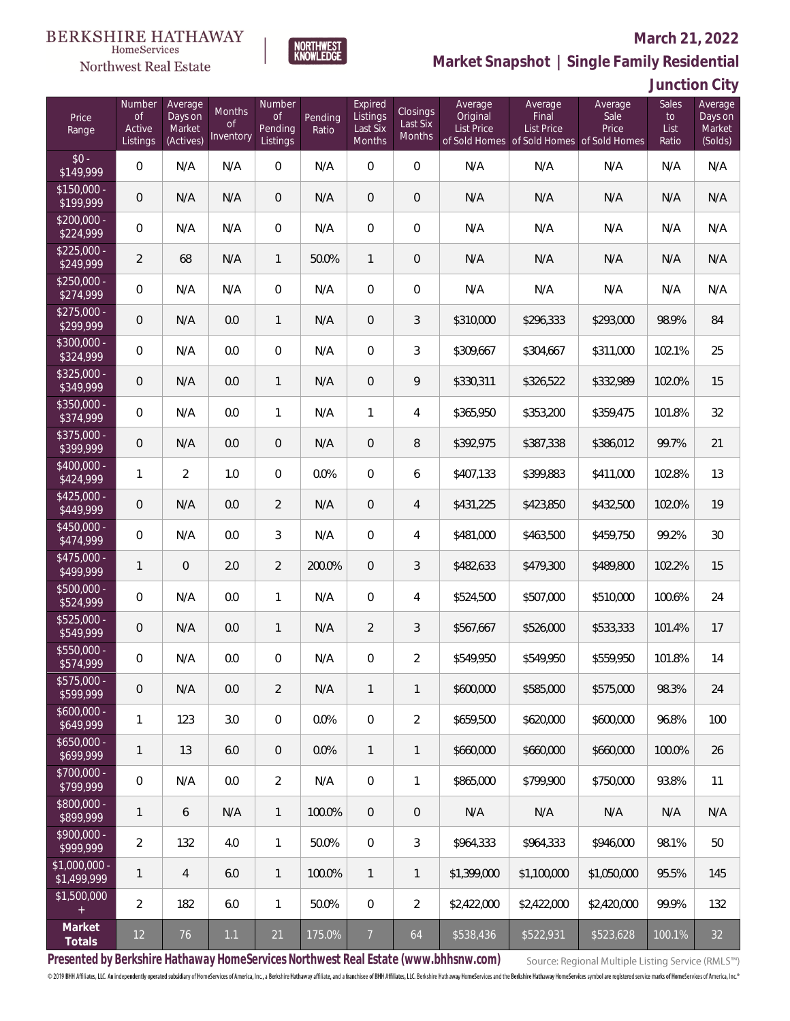

#### **March 21, 2022**

**Market Snapshot | Single Family Residential**

### **Junction City**

| Price<br>Range                | Number<br><b>of</b><br>Active<br>Listings | Average<br>Days on<br>Market<br>(Actives) | <b>Months</b><br><b>of</b><br>Inventory | Number<br>of<br>Pending<br>Listings | Pending<br>Ratio | Expired<br>Listings<br>Last Six<br>Months | Closings<br>Last Six<br>Months | Average<br>Original<br><b>List Price</b> | Average<br>Final<br>List Price | Average<br>Sale<br>Price<br>of Sold Homes of Sold Homes of Sold Homes | Sales<br>to<br>List<br>Ratio | Average<br>Days on<br>Market<br>(Solds) |
|-------------------------------|-------------------------------------------|-------------------------------------------|-----------------------------------------|-------------------------------------|------------------|-------------------------------------------|--------------------------------|------------------------------------------|--------------------------------|-----------------------------------------------------------------------|------------------------------|-----------------------------------------|
| $$0 -$<br>\$149,999           | $\overline{0}$                            | N/A                                       | N/A                                     | $\overline{0}$                      | N/A              | $\mathbf 0$                               | $\mathbf 0$                    | N/A                                      | N/A                            | N/A                                                                   | N/A                          | N/A                                     |
| $$150,000 -$<br>\$199,999     | $\overline{0}$                            | N/A                                       | N/A                                     | $\overline{0}$                      | N/A              | $\overline{0}$                            | $\overline{0}$                 | N/A                                      | N/A                            | N/A                                                                   | N/A                          | N/A                                     |
| $$200,000 -$<br>\$224,999     | $\overline{0}$                            | N/A                                       | N/A                                     | $\overline{0}$                      | N/A              | $\Omega$                                  | $\overline{0}$                 | N/A                                      | N/A                            | N/A                                                                   | N/A                          | N/A                                     |
| $$225,000 -$<br>\$249,999     | $\overline{2}$                            | 68                                        | N/A                                     | $\mathbf{1}$                        | 50.0%            | $\mathbf{1}$                              | $\overline{0}$                 | N/A                                      | N/A                            | N/A                                                                   | N/A                          | N/A                                     |
| $$250,000 -$<br>\$274,999     | $\overline{0}$                            | N/A                                       | N/A                                     | $\overline{0}$                      | N/A              | $\overline{0}$                            | $\overline{0}$                 | N/A                                      | N/A                            | N/A                                                                   | N/A                          | N/A                                     |
| $$275,000 -$<br>\$299,999     | $\overline{0}$                            | N/A                                       | 0.0                                     | $\mathbf{1}$                        | N/A              | $\overline{0}$                            | 3                              | \$310,000                                | \$296,333                      | \$293,000                                                             | 98.9%                        | 84                                      |
| $$300,000 -$<br>\$324,999     | $\overline{0}$                            | N/A                                       | 0.0                                     | $\overline{0}$                      | N/A              | $\overline{0}$                            | 3                              | \$309,667                                | \$304,667                      | \$311,000                                                             | 102.1%                       | 25                                      |
| $$325,000 -$<br>\$349,999     | $\overline{0}$                            | N/A                                       | 0.0                                     | $\mathbf{1}$                        | N/A              | $\overline{0}$                            | 9                              | \$330,311                                | \$326,522                      | \$332,989                                                             | 102.0%                       | 15                                      |
| $$350,000 -$<br>\$374,999     | $\overline{0}$                            | N/A                                       | 0.0                                     | $\mathbf{1}$                        | N/A              | 1                                         | 4                              | \$365,950                                | \$353,200                      | \$359,475                                                             | 101.8%                       | 32                                      |
| $$375,000 -$<br>\$399,999     | $\mathbf 0$                               | N/A                                       | 0.0                                     | $\overline{0}$                      | N/A              | $\overline{0}$                            | 8                              | \$392,975                                | \$387,338                      | \$386,012                                                             | 99.7%                        | 21                                      |
| $$400,000 -$<br>\$424,999     | $\mathbf{1}$                              | $\overline{2}$                            | 1.0                                     | $\overline{0}$                      | 0.0%             | $\overline{0}$                            | 6                              | \$407,133                                | \$399,883                      | \$411,000                                                             | 102.8%                       | 13                                      |
| $$425,000 -$<br>\$449,999     | $\mathbf 0$                               | N/A                                       | 0.0                                     | $\overline{2}$                      | N/A              | 0                                         | 4                              | \$431,225                                | \$423,850                      | \$432,500                                                             | 102.0%                       | 19                                      |
| $$450,000 -$<br>\$474,999     | $\overline{0}$                            | N/A                                       | 0.0                                     | 3                                   | N/A              | $\overline{0}$                            | 4                              | \$481,000                                | \$463,500                      | \$459,750                                                             | 99.2%                        | 30                                      |
| $$475,000 -$<br>\$499,999     | $\mathbf{1}$                              | $\overline{0}$                            | 2.0                                     | $\overline{2}$                      | 200.0%           | $\overline{0}$                            | 3                              | \$482,633                                | \$479,300                      | \$489,800                                                             | 102.2%                       | 15                                      |
| $$500,000 -$<br>\$524,999     | $\overline{0}$                            | N/A                                       | 0.0                                     | $\mathbf{1}$                        | N/A              | $\Omega$                                  | 4                              | \$524,500                                | \$507,000                      | \$510,000                                                             | 100.6%                       | 24                                      |
| $$525,000 -$<br>\$549,999     | $\mathbf 0$                               | N/A                                       | 0.0                                     | $\mathbf{1}$                        | N/A              | $\overline{2}$                            | 3                              | \$567,667                                | \$526,000                      | \$533,333                                                             | 101.4%                       | 17                                      |
| \$550,000 -<br>\$574,999      | 0                                         | N/A                                       | 0.0                                     | $\overline{0}$                      | N/A              | 0                                         | $\overline{2}$                 | \$549,950                                | \$549,950                      | \$559,950                                                             | 101.8%                       | 14                                      |
| \$575,000 -<br>\$599,999      | $\boldsymbol{0}$                          | N/A                                       | 0.0                                     | 2                                   | N/A              | 1                                         | $\mathbf{1}$                   | \$600,000                                | \$585,000                      | \$575,000                                                             | 98.3%                        | 24                                      |
| $$600,000 -$<br>\$649,999     | 1                                         | 123                                       | 3.0                                     | $\mathbf 0$                         | 0.0%             | $\mathbf 0$                               | $\overline{2}$                 | \$659,500                                | \$620,000                      | \$600,000                                                             | 96.8%                        | 100                                     |
| $$650,000 -$<br>\$699,999     | $\mathbf{1}$                              | 13                                        | 6.0                                     | $\mathbf 0$                         | 0.0%             | $\mathbf{1}$                              | $\mathbf{1}$                   | \$660,000                                | \$660,000                      | \$660,000                                                             | 100.0%                       | 26                                      |
| \$700,000 -<br>\$799,999      | $\overline{0}$                            | N/A                                       | 0.0                                     | $\overline{2}$                      | N/A              | $\mathbb O$                               | 1                              | \$865,000                                | \$799,900                      | \$750,000                                                             | 93.8%                        | 11                                      |
| \$800,000 -<br>\$899,999      | $\mathbf{1}$                              | 6                                         | N/A                                     | $\mathbf{1}$                        | 100.0%           | $\overline{0}$                            | $\mathbf 0$                    | N/A                                      | N/A                            | N/A                                                                   | N/A                          | N/A                                     |
| \$900,000 -<br>\$999,999      | $\overline{2}$                            | 132                                       | 4.0                                     | $\mathbf{1}$                        | 50.0%            | $\overline{0}$                            | 3                              | \$964,333                                | \$964,333                      | \$946,000                                                             | 98.1%                        | 50                                      |
| $$1,000,000$ -<br>\$1,499,999 | $\mathbf{1}$                              | $\overline{4}$                            | 6.0                                     | $\mathbf{1}$                        | 100.0%           | $\mathbf{1}$                              | $\mathbf{1}$                   | \$1,399,000                              | \$1,100,000                    | \$1,050,000                                                           | 95.5%                        | 145                                     |
| \$1,500,000<br>$\pm$          | $\overline{2}$                            | 182                                       | 6.0                                     | $\mathbf{1}$                        | 50.0%            | $\mathbb O$                               | $\overline{2}$                 | \$2,422,000                              | \$2,422,000                    | \$2,420,000                                                           | 99.9%                        | 132                                     |
| Market<br>Totals              | $12 \overline{)}$                         | 76                                        | 1.1                                     | $21$                                | 175.0%           | $\overline{7}$                            | 64                             | \$538,436                                | \$522,931                      | \$523,628                                                             | 100.1%                       | 32                                      |

NORTHWEST<br>KNOWLFDGF

**Presented by Berkshire Hathaway HomeServices Northwest Real Estate (www.bhhsnw.com)**

Source: Regional Multiple Listing Service (RMLS™)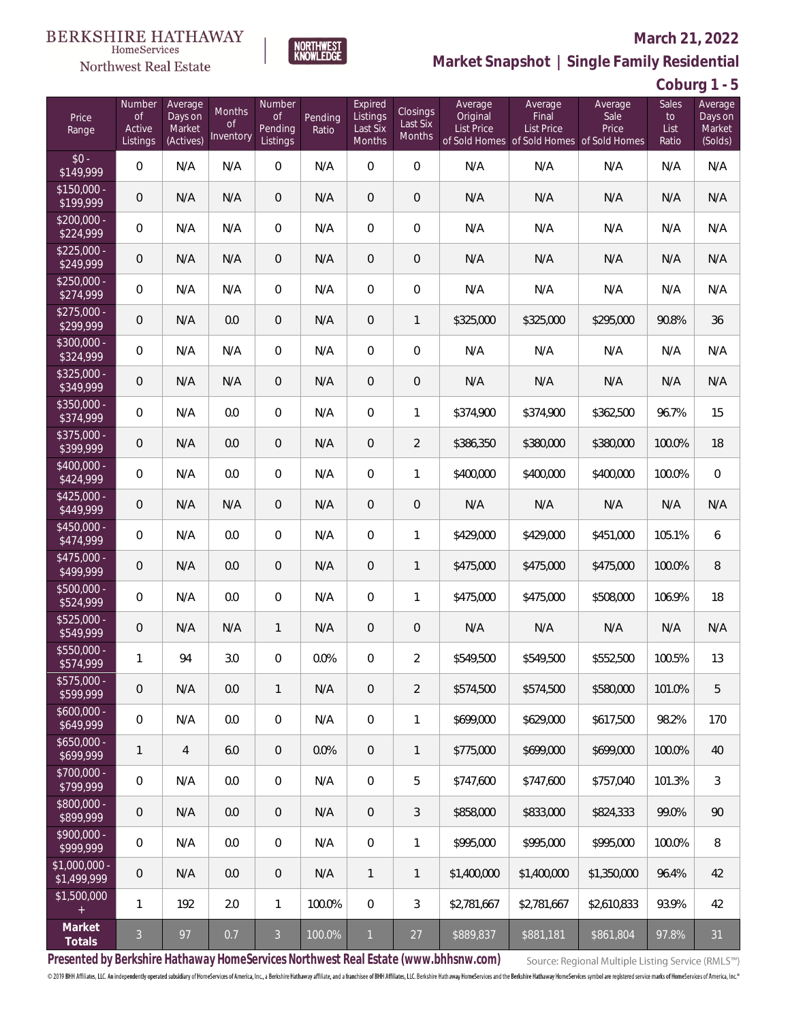

#### **March 21, 2022**

**Market Snapshot | Single Family Residential**

**Coburg 1 - 5**

| Price<br>Range             | Number<br><b>of</b><br>Active<br>Listings | Average<br>Days on<br>Market<br>(Actives) | Months<br>of<br>Inventory | Number<br><b>of</b><br>Pending<br>Listings | Pending<br>Ratio | Expired<br>Listings<br>Last Six<br>Months | Closings<br>Last Six<br>Months | Average<br>Original<br><b>List Price</b> | Average<br>Final<br><b>List Price</b><br>of Sold Homes of Sold Homes of Sold Homes | Average<br>Sale<br>Price | Sales<br>to<br>List<br>Ratio | Average<br>Days on<br>Market<br>(Solds) |
|----------------------------|-------------------------------------------|-------------------------------------------|---------------------------|--------------------------------------------|------------------|-------------------------------------------|--------------------------------|------------------------------------------|------------------------------------------------------------------------------------|--------------------------|------------------------------|-----------------------------------------|
| $$0 -$<br>$\sqrt{149,999}$ | $\mathbf{0}$                              | N/A                                       | N/A                       | $\overline{0}$                             | N/A              | $\overline{0}$                            | $\mathbf{0}$                   | N/A                                      | N/A                                                                                | N/A                      | N/A                          | N/A                                     |
| $$150,000 -$<br>\$199,999  | $\mathbf 0$                               | N/A                                       | N/A                       | $\overline{0}$                             | N/A              | $\overline{0}$                            | $\mathbf 0$                    | N/A                                      | N/A                                                                                | N/A                      | N/A                          | N/A                                     |
| \$200,000 -<br>\$224,999   | $\overline{0}$                            | N/A                                       | N/A                       | $\overline{0}$                             | N/A              | $\overline{0}$                            | 0                              | N/A                                      | N/A                                                                                | N/A                      | N/A                          | N/A                                     |
| $$225,000 -$<br>\$249,999  | $\mathbf 0$                               | N/A                                       | N/A                       | $\overline{0}$                             | N/A              | $\overline{0}$                            | $\mathbf 0$                    | N/A                                      | N/A                                                                                | N/A                      | N/A                          | N/A                                     |
| $$250,000 -$<br>\$274,999  | 0                                         | N/A                                       | N/A                       | $\overline{0}$                             | N/A              | $\overline{0}$                            | $\boldsymbol{0}$               | N/A                                      | N/A                                                                                | N/A                      | N/A                          | N/A                                     |
| $$275,000 -$<br>\$299,999  | $\mathbf 0$                               | N/A                                       | 0.0                       | $\overline{0}$                             | N/A              | $\overline{0}$                            | $\mathbf{1}$                   | \$325,000                                | \$325,000                                                                          | \$295,000                | 90.8%                        | 36                                      |
| \$300,000 -<br>\$324,999   | 0                                         | N/A                                       | N/A                       | $\overline{0}$                             | N/A              | $\overline{0}$                            | $\boldsymbol{0}$               | N/A                                      | N/A                                                                                | N/A                      | N/A                          | N/A                                     |
| \$325,000 -<br>\$349,999   | $\mathbf 0$                               | N/A                                       | N/A                       | $\overline{0}$                             | N/A              | $\overline{0}$                            | $\mathbf 0$                    | N/A                                      | N/A                                                                                | N/A                      | N/A                          | N/A                                     |
| \$350,000 -<br>\$374,999   | $\overline{0}$                            | N/A                                       | 0.0                       | $\overline{0}$                             | N/A              | $\overline{0}$                            | 1                              | \$374,900                                | \$374,900                                                                          | \$362,500                | 96.7%                        | 15                                      |
| \$375,000 -<br>\$399,999   | $\mathbf 0$                               | N/A                                       | 0.0                       | $\overline{0}$                             | N/A              | 0                                         | $\overline{2}$                 | \$386,350                                | \$380,000                                                                          | \$380,000                | 100.0%                       | 18                                      |
| \$400,000 -<br>\$424,999   | $\overline{0}$                            | N/A                                       | 0.0                       | $\overline{0}$                             | N/A              | $\overline{0}$                            | 1                              | \$400,000                                | \$400,000                                                                          | \$400,000                | 100.0%                       | $\mathbf 0$                             |
| $$425,000 -$<br>\$449,999  | $\mathbf 0$                               | N/A                                       | N/A                       | $\overline{0}$                             | N/A              | 0                                         | $\mathbf 0$                    | N/A                                      | N/A                                                                                | N/A                      | N/A                          | N/A                                     |
| \$450,000 -<br>\$474,999   | $\overline{0}$                            | N/A                                       | 0.0                       | $\overline{0}$                             | N/A              | $\overline{0}$                            | $\mathbf{1}$                   | \$429,000                                | \$429,000                                                                          | \$451,000                | 105.1%                       | 6                                       |
| \$475,000 -<br>\$499,999   | $\mathbf 0$                               | N/A                                       | 0.0                       | $\overline{0}$                             | N/A              | $\overline{0}$                            | $\mathbf{1}$                   | \$475,000                                | \$475,000                                                                          | \$475,000                | 100.0%                       | 8                                       |
| \$500,000 -<br>\$524,999   | $\boldsymbol{0}$                          | N/A                                       | 0.0                       | $\overline{0}$                             | N/A              | $\overline{0}$                            | $\mathbf{1}$                   | \$475,000                                | \$475,000                                                                          | \$508,000                | 106.9%                       | 18                                      |
| \$525,000 -<br>\$549,999   | $\mathbf 0$                               | N/A                                       | N/A                       | $\mathbf{1}$                               | N/A              | 0                                         | $\mathbf 0$                    | N/A                                      | N/A                                                                                | N/A                      | N/A                          | N/A                                     |
| \$550,000 -<br>\$574,999   | 1                                         | 94                                        | 3.0                       | 0                                          | 0.0%             | 0                                         | $\overline{2}$                 | \$549,500                                | \$549,500                                                                          | \$552,500                | 100.5%                       | 13                                      |
| \$575,000 -<br>\$599,999   | $\mathbf 0$                               | N/A                                       | 0.0                       | $\mathbf{1}$                               | N/A              | $\overline{0}$                            | $\overline{2}$                 | \$574,500                                | \$574,500                                                                          | \$580,000                | 101.0%                       | 5                                       |
| $$600,000 -$<br>\$649,999  | $\boldsymbol{0}$                          | N/A                                       | 0.0                       | $\overline{0}$                             | N/A              | $\mathbf 0$                               | 1                              | \$699,000                                | \$629,000                                                                          | \$617,500                | 98.2%                        | 170                                     |
| $$650,000 -$<br>\$699,999  | 1                                         | $\overline{4}$                            | 6.0                       | $\overline{0}$                             | 0.0%             | $\overline{0}$                            | 1                              | \$775,000                                | \$699,000                                                                          | \$699,000                | 100.0%                       | 40                                      |
| \$700,000 -<br>\$799,999   | $\,0\,$                                   | N/A                                       | 0.0                       | $\mathbf 0$                                | N/A              | $\mathbb O$                               | 5                              | \$747,600                                | \$747,600                                                                          | \$757,040                | 101.3%                       | 3                                       |
| \$800,000 -<br>\$899,999   | $\mathbf 0$                               | N/A                                       | 0.0                       | $\overline{0}$                             | N/A              | $\overline{0}$                            | 3                              | \$858,000                                | \$833,000                                                                          | \$824,333                | 99.0%                        | 90                                      |
| \$900,000 -<br>\$999,999   | $\mathbf 0$                               | N/A                                       | 0.0                       | $\mathbf 0$                                | N/A              | $\mathbf 0$                               | 1                              | \$995,000                                | \$995,000                                                                          | \$995,000                | 100.0%                       | 8                                       |
| \$1,000,000<br>\$1,499,999 | $\mathbf 0$                               | N/A                                       | 0.0                       | $\mathbf 0$                                | N/A              | 1                                         | $\mathbf{1}$                   | \$1,400,000                              | \$1,400,000                                                                        | \$1,350,000              | 96.4%                        | 42                                      |
| \$1,500,000<br>$\ddot{}$   | 1                                         | 192                                       | 2.0                       | $\mathbf{1}$                               | 100.0%           | $\mathbb O$                               | 3                              | \$2,781,667                              | \$2,781,667                                                                        | \$2,610,833              | 93.9%                        | 42                                      |
| Market<br>Totals           | $\mathfrak{Z}$                            | 97                                        | 0.7                       | $\mathfrak{Z}$                             | 100.0%           | $\mathbf{1}$                              | 27                             | \$889,837                                | \$881,181                                                                          | \$861,804                | 97.8%                        | 31                                      |

NORTHWEST<br>KNOWLFDGF

**Presented by Berkshire Hathaway HomeServices Northwest Real Estate (www.bhhsnw.com)**

Source: Regional Multiple Listing Service (RMLS™)